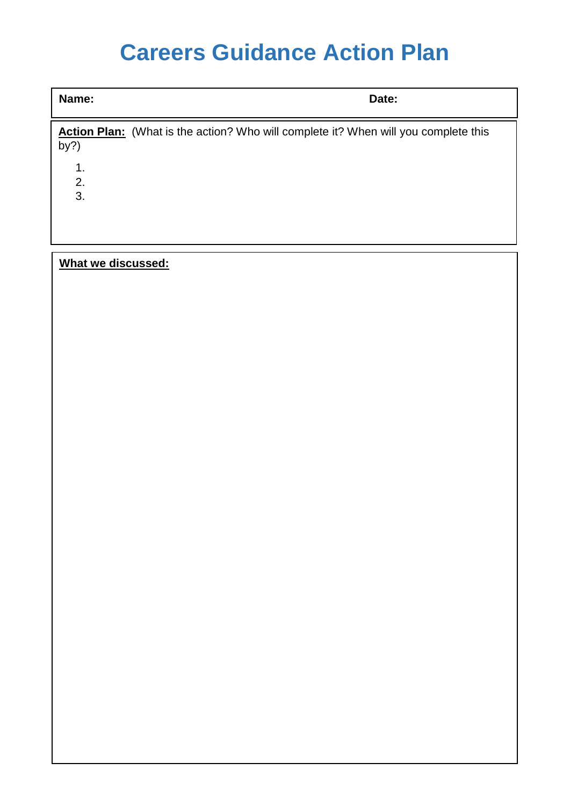# **Careers Guidance Action Plan**

**Name: Date:**

**Action Plan:** (What is the action? Who will complete it? When will you complete this by?) 1.

2.

3.

#### **What we discussed:**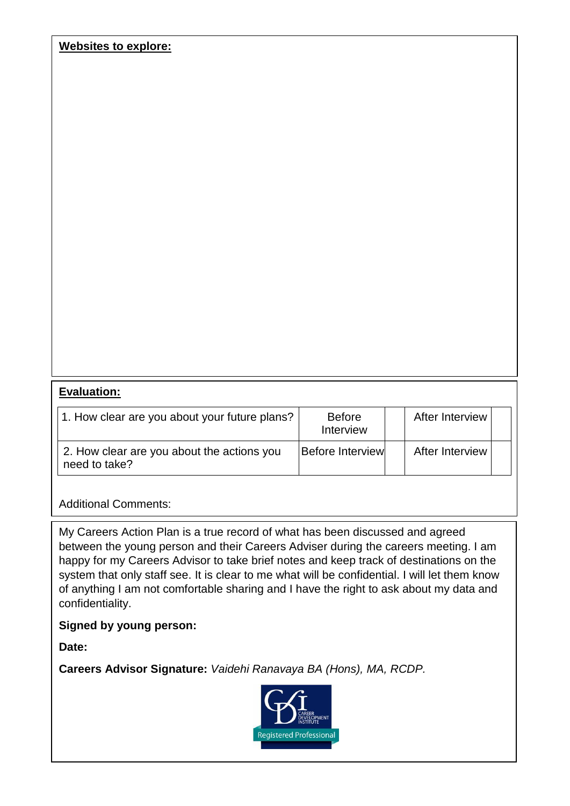**Websites to explore:**

#### **Evaluation:**

| 1. How clear are you about your future plans?               | <b>Before</b><br>Interview | After Interview |  |
|-------------------------------------------------------------|----------------------------|-----------------|--|
| 2. How clear are you about the actions you<br>need to take? | <b>Before Interview</b>    | After Interview |  |

Additional Comments:

My Careers Action Plan is a true record of what has been discussed and agreed between the young person and their Careers Adviser during the careers meeting. I am happy for my Careers Advisor to take brief notes and keep track of destinations on the system that only staff see. It is clear to me what will be confidential. I will let them know of anything I am not comfortable sharing and I have the right to ask about my data and confidentiality.

#### **Signed by young person:**

**Date:**

**Careers Advisor Signature:** *Vaidehi Ranavaya BA (Hons), MA, RCDP.*

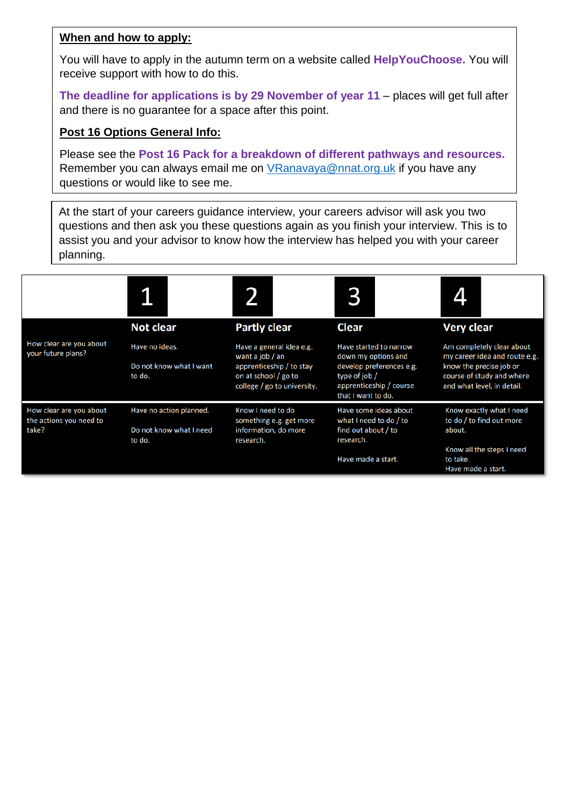#### **When and how to apply:**

You will have to apply in the autumn term on a website called **HelpYouChoose.** You will receive support with how to do this.

**The deadline for applications is by 29 November of year 11** – places will get full after and there is no guarantee for a space after this point.

#### **Post 16 Options General Info:**

Please see the **Post 16 Pack for a breakdown of different pathways and resources.** Remember you can always email me on [VRanavaya@nnat.org.uk](mailto:VRanavaya@nnat.org.uk) if you have any questions or would like to see me.

At the start of your careers guidance interview, your careers advisor will ask you two questions and then ask you these questions again as you finish your interview. This is to assist you and your advisor to know how the interview has helped you with your career planning.

|                                                             | 1                                 |                                                                                 |                                                                                            |                                                                                    |
|-------------------------------------------------------------|-----------------------------------|---------------------------------------------------------------------------------|--------------------------------------------------------------------------------------------|------------------------------------------------------------------------------------|
|                                                             | <b>Not clear</b>                  | <b>Partly clear</b>                                                             | <b>Clear</b>                                                                               | <b>Very clear</b>                                                                  |
| How clear are you about<br>your future plans?               | Have no ideas.                    | Have a general idea e.g.<br>want a job / an                                     | Have started to narrow<br>down my options and                                              | Am completely clear about<br>my career idea and route e.g.                         |
|                                                             | Do not know what I want<br>to do. | apprenticeship / to stay<br>on at school / go to<br>college / go to university. | develop preferences e.g.<br>type of job /<br>apprenticeship / course<br>that I want to do. | know the precise job or<br>course of study and where<br>and what level, in detail. |
| How clear are you about<br>the actions you need to<br>take? | Have no action planned.           | Know I need to do<br>something e.g. get more                                    | Have some ideas about<br>what I need to do / to                                            | Know exactly what I need<br>to do / to find out more                               |
|                                                             | Do not know what I need<br>to do. | information, do more<br>research.                                               | find out about / to<br>research.                                                           | about.                                                                             |
|                                                             |                                   |                                                                                 | Have made a start.                                                                         | Know all the steps I need<br>to take.<br>Have made a start.                        |